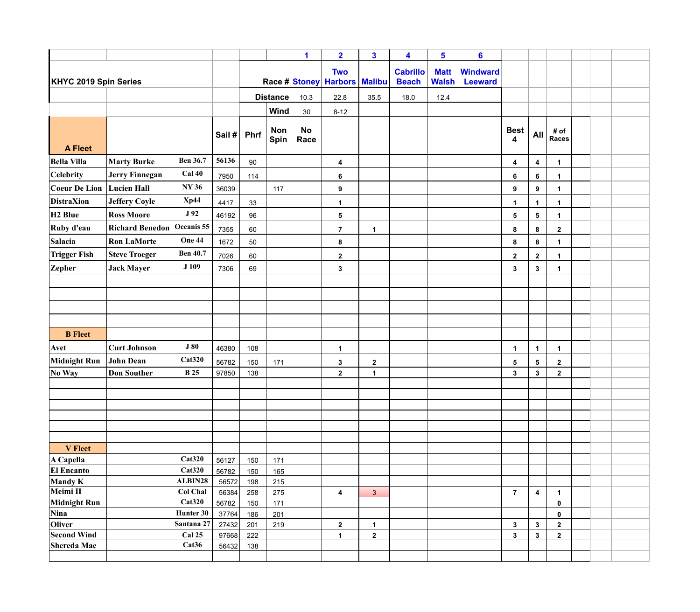|                                          |                        |                             |                |                 |                           | 1                 | $\overline{\mathbf{2}}$                        | $\mathbf{3}$     | 4                               | 5                           | $6\phantom{a}$             |                  |                         |                      |  |  |
|------------------------------------------|------------------------|-----------------------------|----------------|-----------------|---------------------------|-------------------|------------------------------------------------|------------------|---------------------------------|-----------------------------|----------------------------|------------------|-------------------------|----------------------|--|--|
| <b>KHYC 2019 Spin Series</b>             |                        |                             |                |                 |                           |                   | <b>Two</b><br>Race # Stoney   Harbors   Malibu |                  | <b>Cabrillo</b><br><b>Beach</b> | <b>Matt</b><br><b>Walsh</b> | Windward<br><b>Leeward</b> |                  |                         |                      |  |  |
|                                          |                        |                             |                | <b>Distance</b> |                           | 10.3              | 22.8                                           | 35.5             | 18.0                            | 12.4                        |                            |                  |                         |                      |  |  |
|                                          |                        |                             |                |                 | Wind                      | 30                | $8 - 12$                                       |                  |                                 |                             |                            |                  |                         |                      |  |  |
| <b>A Fleet</b>                           |                        |                             | Sail #         | <b>Phrf</b>     | <b>Non</b><br><b>Spin</b> | <b>No</b><br>Race |                                                |                  |                                 |                             |                            | <b>Best</b><br>4 | <b>All</b>              | # of<br><b>Races</b> |  |  |
| <b>Bella Villa</b>                       | <b>Marty Burke</b>     | <b>Ben 36.7</b>             | 56136          | 90              |                           |                   | 4                                              |                  |                                 |                             |                            | 4                | 4                       | $\mathbf 1$          |  |  |
| <b>Celebrity</b>                         | <b>Jerry Finnegan</b>  | <b>Cal 40</b>               | 7950           | 114             |                           |                   | 6                                              |                  |                                 |                             |                            | $\bf 6$          | 6                       | $\blacktriangleleft$ |  |  |
| <b>Coeur De Lion</b>                     | <b>Lucien Hall</b>     | <b>NY 36</b>                | 36039          |                 | 117                       |                   | $\boldsymbol{9}$                               |                  |                                 |                             |                            | 9                | 9                       | -1                   |  |  |
| <b>DistraXion</b>                        | <b>Jeffery Coyle</b>   | Xp44                        | 4417           | 33              |                           |                   | 1                                              |                  |                                 |                             |                            | $\mathbf 1$      | -1                      | -1                   |  |  |
| H <sub>2</sub> Blue                      | <b>Ross Moore</b>      | J 92                        | 46192          | 96              |                           |                   | 5                                              |                  |                                 |                             |                            | $\sqrt{5}$       | $\overline{\mathbf{5}}$ | -1                   |  |  |
| Ruby d'eau                               | <b>Richard Benedon</b> | Oceanis 55                  | 7355           | 60              |                           |                   | $\overline{7}$                                 | $\mathbf 1$      |                                 |                             |                            | 8                | 8                       | $\overline{2}$       |  |  |
| <b>Salacia</b>                           | <b>Ron LaMorte</b>     | One 44                      | 1672           | 50              |                           |                   | ${\bf 8}$                                      |                  |                                 |                             |                            | 8                | 8                       |                      |  |  |
| <b>Trigger Fish</b>                      | <b>Steve Troeger</b>   | <b>Ben 40.7</b>             | 7026           | 60              |                           |                   | $\boldsymbol{2}$                               |                  |                                 |                             |                            | $\mathbf{2}$     | $\mathbf{2}$            | $\mathbf 1$          |  |  |
| <b>Zepher</b>                            | <b>Jack Mayer</b>      | J 109                       | 7306           | 69              |                           |                   | 3                                              |                  |                                 |                             |                            | $\mathbf{3}$     | 3                       | -1                   |  |  |
|                                          |                        |                             |                |                 |                           |                   |                                                |                  |                                 |                             |                            |                  |                         |                      |  |  |
|                                          |                        |                             |                |                 |                           |                   |                                                |                  |                                 |                             |                            |                  |                         |                      |  |  |
|                                          |                        |                             |                |                 |                           |                   |                                                |                  |                                 |                             |                            |                  |                         |                      |  |  |
|                                          |                        |                             |                |                 |                           |                   |                                                |                  |                                 |                             |                            |                  |                         |                      |  |  |
| <b>B</b> Fleet                           |                        |                             |                |                 |                           |                   |                                                |                  |                                 |                             |                            |                  |                         |                      |  |  |
| Avet                                     | <b>Curt Johnson</b>    | <b>J80</b>                  | 46380          | 108             |                           |                   | 1                                              |                  |                                 |                             |                            | $\mathbf 1$      | $\mathbf 1$             | $\mathbf 1$          |  |  |
| Midnight Run John Dean                   |                        | Cat320                      | 56782          | 150             | 171                       |                   | $\boldsymbol{3}$                               | $\boldsymbol{2}$ |                                 |                             |                            | 5                | $\overline{\mathbf{5}}$ | $\mathbf{2}$         |  |  |
| No Way                                   | <b>Don Souther</b>     | <b>B</b> 25                 | 97850          | 138             |                           |                   | $\mathbf 2$                                    | 1                |                                 |                             |                            | $\mathbf{3}$     | $\mathbf{3}$            | $\overline{2}$       |  |  |
|                                          |                        |                             |                |                 |                           |                   |                                                |                  |                                 |                             |                            |                  |                         |                      |  |  |
|                                          |                        |                             |                |                 |                           |                   |                                                |                  |                                 |                             |                            |                  |                         |                      |  |  |
|                                          |                        |                             |                |                 |                           |                   |                                                |                  |                                 |                             |                            |                  |                         |                      |  |  |
|                                          |                        |                             |                |                 |                           |                   |                                                |                  |                                 |                             |                            |                  |                         |                      |  |  |
|                                          |                        |                             |                |                 |                           |                   |                                                |                  |                                 |                             |                            |                  |                         |                      |  |  |
| <b>V</b> Fleet                           |                        |                             |                |                 |                           |                   |                                                |                  |                                 |                             |                            |                  |                         |                      |  |  |
| A Capella                                |                        | Cat320                      | 56127          | 150             | 171                       |                   |                                                |                  |                                 |                             |                            |                  |                         |                      |  |  |
| <b>El Encanto</b><br><b>Mandy K</b>      |                        | Cat320<br>ALBIN28           | 56782<br>56572 | 150<br>198      | 165<br>215                |                   |                                                |                  |                                 |                             |                            |                  |                         |                      |  |  |
| Meimi II                                 |                        | <b>Col Chal</b>             | 56384          | 258             | 275                       |                   | 4                                              | $\mathbf{3}$     |                                 |                             |                            | $\overline{7}$   | $\boldsymbol{4}$        | $\mathbf 1$          |  |  |
| Midnight Run                             |                        | Cat320                      | 56782          | 150             | 171                       |                   |                                                |                  |                                 |                             |                            |                  |                         | $\mathbf 0$          |  |  |
| <b>Nina</b>                              |                        | Hunter 30                   | 37764          | 186             | 201                       |                   |                                                |                  |                                 |                             |                            |                  |                         | $\mathbf 0$          |  |  |
| Oliver                                   |                        | Santana 27                  | 27432          | 201             | 219                       |                   | $\mathbf 2$                                    | 1                |                                 |                             |                            | $\mathbf{3}$     | $\mathbf{3}$            | $\mathbf{2}$         |  |  |
| <b>Second Wind</b><br><b>Shereda Mae</b> |                        | Cal 25<br>Cat <sub>36</sub> | 97668<br>56432 | 222             |                           |                   | 1                                              | $\boldsymbol{2}$ |                                 |                             |                            | $\mathbf{3}$     | $\mathbf{3}$            | $\overline{2}$       |  |  |
|                                          |                        |                             |                | 138             |                           |                   |                                                |                  |                                 |                             |                            |                  |                         |                      |  |  |